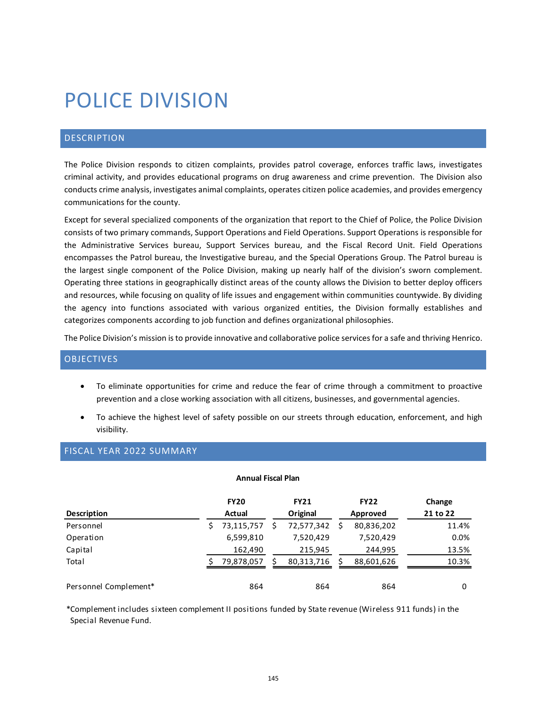# POLICE DIVISION

# DESCRIPTION

The Police Division responds to citizen complaints, provides patrol coverage, enforces traffic laws, investigates criminal activity, and provides educational programs on drug awareness and crime prevention. The Division also conducts crime analysis, investigates animal complaints, operates citizen police academies, and provides emergency communications for the county.

Except for several specialized components of the organization that report to the Chief of Police, the Police Division consists of two primary commands, Support Operations and Field Operations. Support Operations is responsible for the Administrative Services bureau, Support Services bureau, and the Fiscal Record Unit. Field Operations encompasses the Patrol bureau, the Investigative bureau, and the Special Operations Group. The Patrol bureau is the largest single component of the Police Division, making up nearly half of the division's sworn complement. Operating three stations in geographically distinct areas of the county allows the Division to better deploy officers and resources, while focusing on quality of life issues and engagement within communities countywide. By dividing the agency into functions associated with various organized entities, the Division formally establishes and categorizes components according to job function and defines organizational philosophies.

The Police Division's mission is to provide innovative and collaborative police services for a safe and thriving Henrico.

## **OBJECTIVES**

- To eliminate opportunities for crime and reduce the fear of crime through a commitment to proactive prevention and a close working association with all citizens, businesses, and governmental agencies.
- To achieve the highest level of safety possible on our streets through education, enforcement, and high visibility.

## FISCAL YEAR 2022 SUMMARY

#### **Annual Fiscal Plan**

|                       | <b>FY20</b> | <b>FY21</b> | <b>FY22</b> | Change   |
|-----------------------|-------------|-------------|-------------|----------|
| <b>Description</b>    | Actual      | Original    | Approved    | 21 to 22 |
| Personnel             | 73,115,757  | 72,577,342  | 80,836,202  | 11.4%    |
| Operation             | 6,599,810   | 7,520,429   | 7,520,429   | 0.0%     |
| Capital               | 162,490     | 215,945     | 244,995     | 13.5%    |
| Total                 | 79,878,057  | 80,313,716  | 88,601,626  | 10.3%    |
| Personnel Complement* | 864         | 864         | 864         | 0        |

\*Complement includes sixteen complement II positions funded by State revenue (Wireless 911 funds) in the Special Revenue Fund.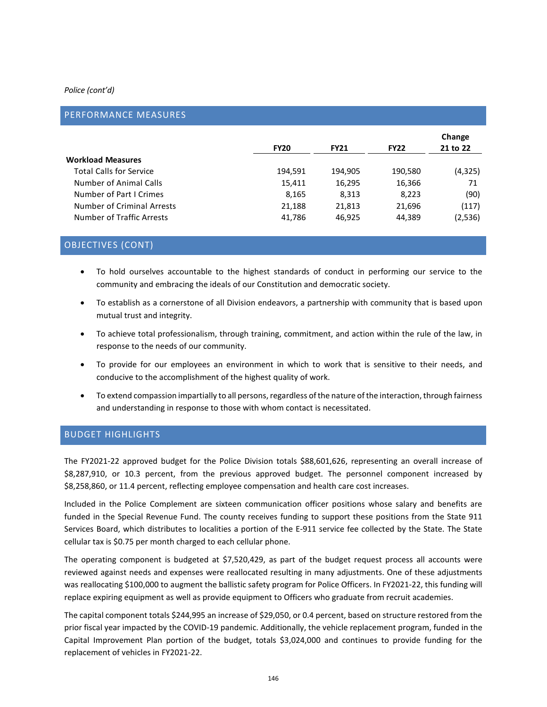#### *Police (cont'd)*

## PERFORMANCE MEASURES

|                            | <b>FY20</b> | <b>FY21</b> | <b>FY22</b> | Change<br>21 to 22 |  |
|----------------------------|-------------|-------------|-------------|--------------------|--|
| <b>Workload Measures</b>   |             |             |             |                    |  |
| Total Calls for Service    | 194.591     | 194.905     | 190,580     | (4,325)            |  |
| Number of Animal Calls     | 15,411      | 16,295      | 16,366      | 71                 |  |
| Number of Part I Crimes    | 8.165       | 8,313       | 8,223       | (90)               |  |
| Number of Criminal Arrests | 21,188      | 21,813      | 21,696      | (117)              |  |
| Number of Traffic Arrests  | 41,786      | 46,925      | 44,389      | (2,536)            |  |

## OBJECTIVES (CONT)

- To hold ourselves accountable to the highest standards of conduct in performing our service to the community and embracing the ideals of our Constitution and democratic society.
- To establish as a cornerstone of all Division endeavors, a partnership with community that is based upon mutual trust and integrity.
- To achieve total professionalism, through training, commitment, and action within the rule of the law, in response to the needs of our community.
- To provide for our employees an environment in which to work that is sensitive to their needs, and conducive to the accomplishment of the highest quality of work.
- To extend compassion impartially to all persons, regardless of the nature of the interaction, through fairness and understanding in response to those with whom contact is necessitated.

## BUDGET HIGHLIGHTS

The FY2021-22 approved budget for the Police Division totals \$88,601,626, representing an overall increase of \$8,287,910, or 10.3 percent, from the previous approved budget. The personnel component increased by \$8,258,860, or 11.4 percent, reflecting employee compensation and health care cost increases.

Included in the Police Complement are sixteen communication officer positions whose salary and benefits are funded in the Special Revenue Fund. The county receives funding to support these positions from the State 911 Services Board, which distributes to localities a portion of the E-911 service fee collected by the State. The State cellular tax is \$0.75 per month charged to each cellular phone.

The operating component is budgeted at \$7,520,429, as part of the budget request process all accounts were reviewed against needs and expenses were reallocated resulting in many adjustments. One of these adjustments was reallocating \$100,000 to augment the ballistic safety program for Police Officers. In FY2021-22, this funding will replace expiring equipment as well as provide equipment to Officers who graduate from recruit academies.

The capital component totals \$244,995 an increase of \$29,050, or 0.4 percent, based on structure restored from the prior fiscal year impacted by the COVID-19 pandemic. Additionally, the vehicle replacement program, funded in the Capital Improvement Plan portion of the budget, totals \$3,024,000 and continues to provide funding for the replacement of vehicles in FY2021-22.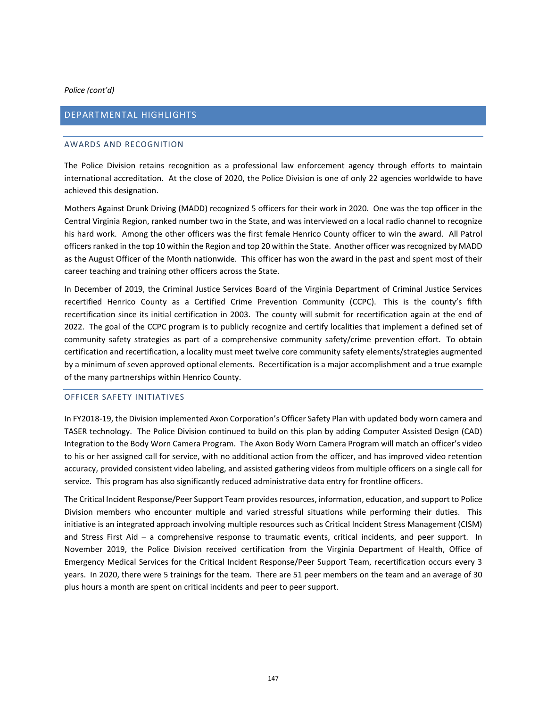*Police (cont'd)*

## DEPARTMENTAL HIGHLIGHTS

#### AWARDS AND RECOGNITION

The Police Division retains recognition as a professional law enforcement agency through efforts to maintain international accreditation. At the close of 2020, the Police Division is one of only 22 agencies worldwide to have achieved this designation.

Mothers Against Drunk Driving (MADD) recognized 5 officers for their work in 2020. One was the top officer in the Central Virginia Region, ranked number two in the State, and was interviewed on a local radio channel to recognize his hard work. Among the other officers was the first female Henrico County officer to win the award. All Patrol officers ranked in the top 10 within the Region and top 20 within the State. Another officer was recognized by MADD as the August Officer of the Month nationwide. This officer has won the award in the past and spent most of their career teaching and training other officers across the State.

In December of 2019, the Criminal Justice Services Board of the Virginia Department of Criminal Justice Services recertified Henrico County as a Certified Crime Prevention Community (CCPC). This is the county's fifth recertification since its initial certification in 2003. The county will submit for recertification again at the end of 2022. The goal of the CCPC program is to publicly recognize and certify localities that implement a defined set of community safety strategies as part of a comprehensive community safety/crime prevention effort. To obtain certification and recertification, a locality must meet twelve core community safety elements/strategies augmented by a minimum of seven approved optional elements. Recertification is a major accomplishment and a true example of the many partnerships within Henrico County.

#### OFFICER SAFETY INITIATIVES

In FY2018-19, the Division implemented Axon Corporation's Officer Safety Plan with updated body worn camera and TASER technology. The Police Division continued to build on this plan by adding Computer Assisted Design (CAD) Integration to the Body Worn Camera Program. The Axon Body Worn Camera Program will match an officer's video to his or her assigned call for service, with no additional action from the officer, and has improved video retention accuracy, provided consistent video labeling, and assisted gathering videos from multiple officers on a single call for service. This program has also significantly reduced administrative data entry for frontline officers.

The Critical Incident Response/Peer Support Team provides resources, information, education, and support to Police Division members who encounter multiple and varied stressful situations while performing their duties. This initiative is an integrated approach involving multiple resources such as Critical Incident Stress Management (CISM) and Stress First Aid – a comprehensive response to traumatic events, critical incidents, and peer support. In November 2019, the Police Division received certification from the Virginia Department of Health, Office of Emergency Medical Services for the Critical Incident Response/Peer Support Team, recertification occurs every 3 years. In 2020, there were 5 trainings for the team. There are 51 peer members on the team and an average of 30 plus hours a month are spent on critical incidents and peer to peer support.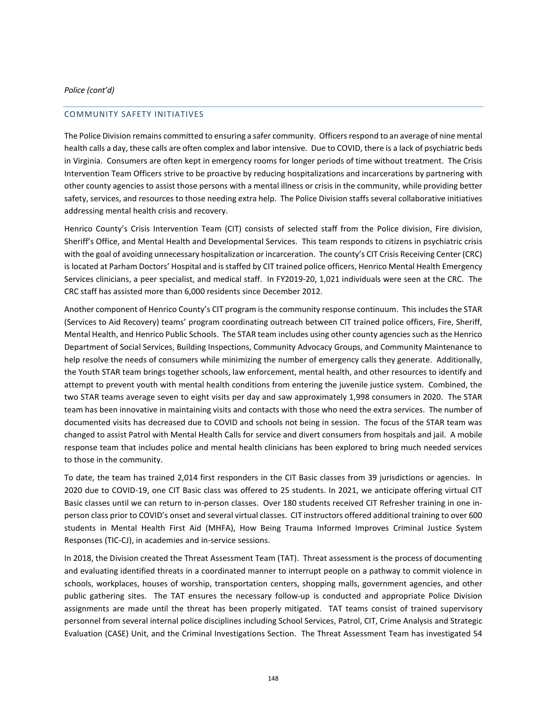#### COMMUNITY SAFETY INITIATIVES

The Police Division remains committed to ensuring a safer community. Officers respond to an average of nine mental health calls a day, these calls are often complex and labor intensive. Due to COVID, there is a lack of psychiatric beds in Virginia. Consumers are often kept in emergency rooms for longer periods of time without treatment. The Crisis Intervention Team Officers strive to be proactive by reducing hospitalizations and incarcerations by partnering with other county agencies to assist those persons with a mental illness or crisis in the community, while providing better safety, services, and resources to those needing extra help. The Police Division staffs several collaborative initiatives addressing mental health crisis and recovery.

Henrico County's Crisis Intervention Team (CIT) consists of selected staff from the Police division, Fire division, Sheriff's Office, and Mental Health and Developmental Services. This team responds to citizens in psychiatric crisis with the goal of avoiding unnecessary hospitalization or incarceration. The county's CIT Crisis Receiving Center (CRC) is located at Parham Doctors' Hospital and is staffed by CIT trained police officers, Henrico Mental Health Emergency Services clinicians, a peer specialist, and medical staff. In FY2019-20, 1,021 individuals were seen at the CRC. The CRC staff has assisted more than 6,000 residents since December 2012.

Another component of Henrico County's CIT program is the community response continuum. This includes the STAR (Services to Aid Recovery) teams' program coordinating outreach between CIT trained police officers, Fire, Sheriff, Mental Health, and Henrico Public Schools. The STAR team includes using other county agencies such as the Henrico Department of Social Services, Building Inspections, Community Advocacy Groups, and Community Maintenance to help resolve the needs of consumers while minimizing the number of emergency calls they generate. Additionally, the Youth STAR team brings together schools, law enforcement, mental health, and other resources to identify and attempt to prevent youth with mental health conditions from entering the juvenile justice system. Combined, the two STAR teams average seven to eight visits per day and saw approximately 1,998 consumers in 2020. The STAR team has been innovative in maintaining visits and contacts with those who need the extra services. The number of documented visits has decreased due to COVID and schools not being in session. The focus of the STAR team was changed to assist Patrol with Mental Health Calls for service and divert consumers from hospitals and jail. A mobile response team that includes police and mental health clinicians has been explored to bring much needed services to those in the community.

To date, the team has trained 2,014 first responders in the CIT Basic classes from 39 jurisdictions or agencies. In 2020 due to COVID-19, one CIT Basic class was offered to 25 students. In 2021, we anticipate offering virtual CIT Basic classes until we can return to in-person classes. Over 180 students received CIT Refresher training in one inperson class prior to COVID's onset and several virtual classes. CIT instructors offered additional training to over 600 students in Mental Health First Aid (MHFA), How Being Trauma Informed Improves Criminal Justice System Responses (TIC-CJ), in academies and in-service sessions.

In 2018, the Division created the Threat Assessment Team (TAT). Threat assessment is the process of documenting and evaluating identified threats in a coordinated manner to interrupt people on a pathway to commit violence in schools, workplaces, houses of worship, transportation centers, shopping malls, government agencies, and other public gathering sites. The TAT ensures the necessary follow-up is conducted and appropriate Police Division assignments are made until the threat has been properly mitigated. TAT teams consist of trained supervisory personnel from several internal police disciplines including School Services, Patrol, CIT, Crime Analysis and Strategic Evaluation (CASE) Unit, and the Criminal Investigations Section. The Threat Assessment Team has investigated 54